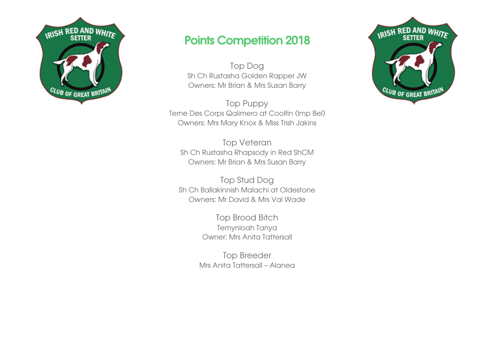

## Points Competition 2018

Top Dog Sh Ch Rustasha Golden Rapper JW Owners: Mr Brian & Mrs Susan Barry

Top Puppy Terne Des Corps Qalimero at Coolfin (Imp Bel) Owners: Mrs Mary Knox & Miss Trish Jakins

Top Veteran Sh Ch Rustasha Rhapsody in Red ShCM Owners: Mr Brian & Mrs Susan Barry

Top Stud Dog Sh Ch Ballakinnish Malachi at Oldestone Owners: Mr David & Mrs Val Wade

> Top Brood Bitch Temynloah Tanya Owner: Mrs Anita Tattersall

Top Breeder Mrs Anita Tattersall – Alanea

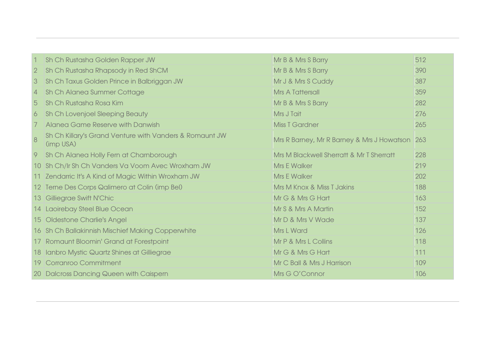| $\mathbf{1}$   | Sh Ch Rustasha Golden Rapper JW                                      | Mr B & Mrs S Barry                             | 512 |
|----------------|----------------------------------------------------------------------|------------------------------------------------|-----|
| $\sqrt{2}$     | Sh Ch Rustasha Rhapsody in Red ShCM                                  | Mr B & Mrs S Barry                             | 390 |
| 3              | Sh Ch Taxus Golden Prince in Balbriggan JW                           | Mr J & Mrs S Cuddy                             | 387 |
| $\overline{4}$ | Sh Ch Alanea Summer Cottage                                          | <b>Mrs A Tattersall</b>                        | 359 |
| 5              | Sh Ch Rustasha Rosa Kim                                              | Mr B & Mrs S Barry                             | 282 |
| 6              | Sh Ch Lovenjoel Sleeping Beauty                                      | Mrs J Tait                                     | 276 |
| 7              | Alanea Game Reserve with Danwish                                     | <b>Miss T Gardner</b>                          | 265 |
| 8              | Sh Ch Killary's Grand Venture with Vanders & Romaunt JW<br>(imp USA) | Mrs R Barney, Mr R Barney & Mrs J Howatson 263 |     |
| 9              | Sh Ch Alanea Holly Fern at Charnborough                              | Mrs M Blackwell Sherratt & Mr T Sherratt       | 228 |
|                | 10 Sh Ch/Ir Sh Ch Vanders Va Voom Avec Wroxham JW                    | <b>Mrs E Walker</b>                            | 219 |
|                | 11 Zendarric It's A Kind of Magic Within Wroxham JW                  | <b>Mrs E Walker</b>                            | 202 |
|                | 12 Terne Des Corps Qalimero at Colin (imp Bel)                       | Mrs M Knox & Miss T Jakins                     | 188 |
|                | 13 Gilliegrae Swift N'Chic                                           | Mr G & Mrs G Hart                              | 163 |
|                | 14 Laoirebay Steel Blue Ocean                                        | Mr S & Mrs A Martin                            | 152 |
|                | 15 Oldestone Charlie's Angel                                         | Mr D & Mrs V Wade                              | 137 |
|                | 16 Sh Ch Ballakinnish Mischief Making Copperwhite                    | <b>Mrs L Ward</b>                              | 126 |
|                | 17 Romaunt Bloomin' Grand at Forestpoint                             | Mr P & Mrs L Collins                           | 118 |
|                | 18 Ianbro Mystic Quartz Shines at Gilliegrae                         | Mr G & Mrs G Hart                              | 111 |
|                | 19 Corranroo Commitment                                              | Mr C Ball & Mrs J Harrison                     | 109 |
|                | 20 Dalcross Dancing Queen with Caispern                              | Mrs G O'Connor                                 | 106 |
|                |                                                                      |                                                |     |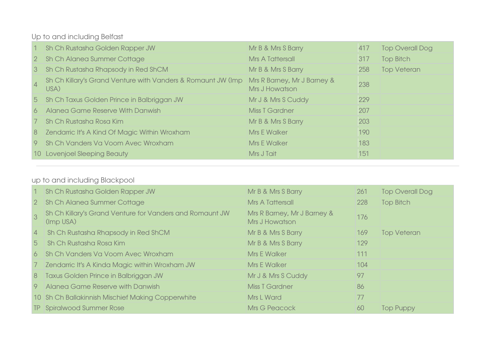Up to and including Belfast

| $\sim$         | Sh Ch Rustasha Golden Rapper JW                                      | Mr B & Mrs S Barry                            | 417 | <b>Top Overall Dog</b> |
|----------------|----------------------------------------------------------------------|-----------------------------------------------|-----|------------------------|
|                | 2 Sh Ch Alanea Summer Cottage                                        | <b>Mrs A Tattersall</b>                       | 317 | <b>Top Bitch</b>       |
| 3 <sup>1</sup> | Sh Ch Rustasha Rhapsody in Red ShCM                                  | Mr B & Mrs S Barry                            | 258 | <b>Top Veteran</b>     |
| $\vert$ 4      | Sh Ch Killary's Grand Venture with Vanders & Romaunt JW (Imp<br>USA) | Mrs R Barney, Mr J Barney &<br>Mrs J Howatson | 238 |                        |
|                | 5 Sh Ch Taxus Golden Prince in Balbriggan JW                         | Mr J & Mrs S Cuddy                            | 229 |                        |
| 6              | Alanea Game Reserve With Danwish                                     | <b>Miss T Gardner</b>                         | 207 |                        |
| $\overline{7}$ | Sh Ch Rustasha Rosa Kim                                              | Mr B & Mrs S Barry                            | 203 |                        |
| 8 <sup>°</sup> | Zendarric It's A Kind Of Magic Within Wroxham                        | <b>Mrs E Walker</b>                           | 190 |                        |
|                | 9 Sh Ch Vanders Va Voom Avec Wroxham                                 | <b>Mrs E Walker</b>                           | 183 |                        |
|                | 10 Lovenjoel Sleeping Beauty                                         | Mrs J Tait                                    | 151 |                        |

## up to and including Blackpool

|                 | Sh Ch Rustasha Golden Rapper JW                                       | Mr B & Mrs S Barry                            | 261 | <b>Top Overall Dog</b> |
|-----------------|-----------------------------------------------------------------------|-----------------------------------------------|-----|------------------------|
| $\sqrt{2}$      | Sh Ch Alanea Summer Cottage                                           | <b>Mrs A Tattersall</b>                       | 228 | <b>Top Bitch</b>       |
| 3               | Sh Ch Killary's Grand Venture for Vanders and Romaunt JW<br>(Imp USA) | Mrs R Barney, Mr J Barney &<br>Mrs J Howatson | 176 |                        |
| $\vert 4 \vert$ | Sh Ch Rustasha Rhapsody in Red ShCM                                   | Mr B & Mrs S Barry                            | 169 | <b>Top Veteran</b>     |
| 5 <sub>1</sub>  | Sh Ch Rustasha Rosa Kim                                               | Mr B & Mrs S Barry                            | 129 |                        |
| 6               | Sh Ch Vanders Va Voom Avec Wroxham                                    | <b>Mrs E Walker</b>                           | 111 |                        |
| 7 <sup>7</sup>  | Zendarric It's A Kinda Magic within Wroxham JW                        | <b>Mrs E Walker</b>                           | 104 |                        |
| 8 <sup>8</sup>  | <b>Taxus Golden Prince in Balbriggan JW</b>                           | Mr J & Mrs S Cuddy                            | 97  |                        |
| 9               | Alanea Game Reserve with Danwish                                      | <b>Miss T Gardner</b>                         | 86  |                        |
|                 | 10 Sh Ch Ballakinnish Mischief Making Copperwhite                     | <b>Mrs L Ward</b>                             | 77  |                        |
|                 | <b>TP</b> Spiralwood Summer Rose                                      | <b>Mrs G Peacock</b>                          | 60  | <b>Top Puppy</b>       |